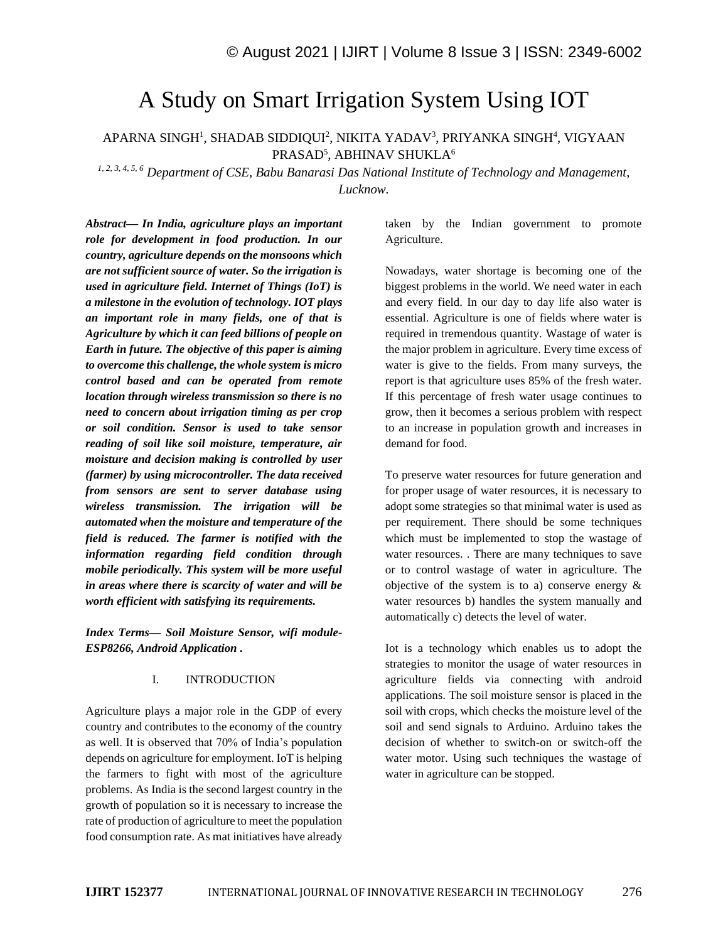# A Study on Smart Irrigation System Using IOT

APARNA SINGH<sup>1</sup>, SHADAB SIDDIQUI<sup>2</sup>, NIKITA YADAV<sup>3</sup>, PRIYANKA SINGH<sup>4</sup>, VIGYAAN PRASAD<sup>5</sup>, ABHINAV SHUKLA<sup>6</sup>

*1, 2, 3, 4, 5, 6 Department of CSE, Babu Banarasi Das National Institute of Technology and Management, Lucknow.*

*Abstract— In India, agriculture plays an important role for development in food production. In our country, agriculture depends on the monsoons which are not sufficient source of water. So the irrigation is used in agriculture field. Internet of Things (IoT) is a milestone in the evolution of technology. IOT plays an important role in many fields, one of that is Agriculture by which it can feed billions of people on Earth in future. The objective of this paper is aiming to overcome this challenge, the whole system is micro control based and can be operated from remote location through wireless transmission so there is no need to concern about irrigation timing as per crop or soil condition. Sensor is used to take sensor reading of soil like soil moisture, temperature, air moisture and decision making is controlled by user (farmer) by using microcontroller. The data received from sensors are sent to server database using wireless transmission. The irrigation will be automated when the moisture and temperature of the field is reduced. The farmer is notified with the information regarding field condition through mobile periodically. This system will be more useful in areas where there is scarcity of water and will be worth efficient with satisfying its requirements.*

*Index Terms— Soil Moisture Sensor, wifi module-ESP8266, Android Application .*

## I. INTRODUCTION

Agriculture plays a major role in the GDP of every country and contributes to the economy of the country as well. It is observed that 70% of India's population depends on agriculture for employment. IoT is helping the farmers to fight with most of the agriculture problems. As India is the second largest country in the growth of population so it is necessary to increase the rate of production of agriculture to meet the population food consumption rate. As mat initiatives have already

taken by the Indian government to promote Agriculture.

Nowadays, water shortage is becoming one of the biggest problems in the world. We need water in each and every field. In our day to day life also water is essential. Agriculture is one of fields where water is required in tremendous quantity. Wastage of water is the major problem in agriculture. Every time excess of water is give to the fields. From many surveys, the report is that agriculture uses 85% of the fresh water. If this percentage of fresh water usage continues to grow, then it becomes a serious problem with respect to an increase in population growth and increases in demand for food.

To preserve water resources for future generation and for proper usage of water resources, it is necessary to adopt some strategies so that minimal water is used as per requirement. There should be some techniques which must be implemented to stop the wastage of water resources. . There are many techniques to save or to control wastage of water in agriculture. The objective of the system is to a) conserve energy  $\&$ water resources b) handles the system manually and automatically c) detects the level of water.

Iot is a technology which enables us to adopt the strategies to monitor the usage of water resources in agriculture fields via connecting with android applications. The soil moisture sensor is placed in the soil with crops, which checks the moisture level of the soil and send signals to Arduino. Arduino takes the decision of whether to switch-on or switch-off the water motor. Using such techniques the wastage of water in agriculture can be stopped.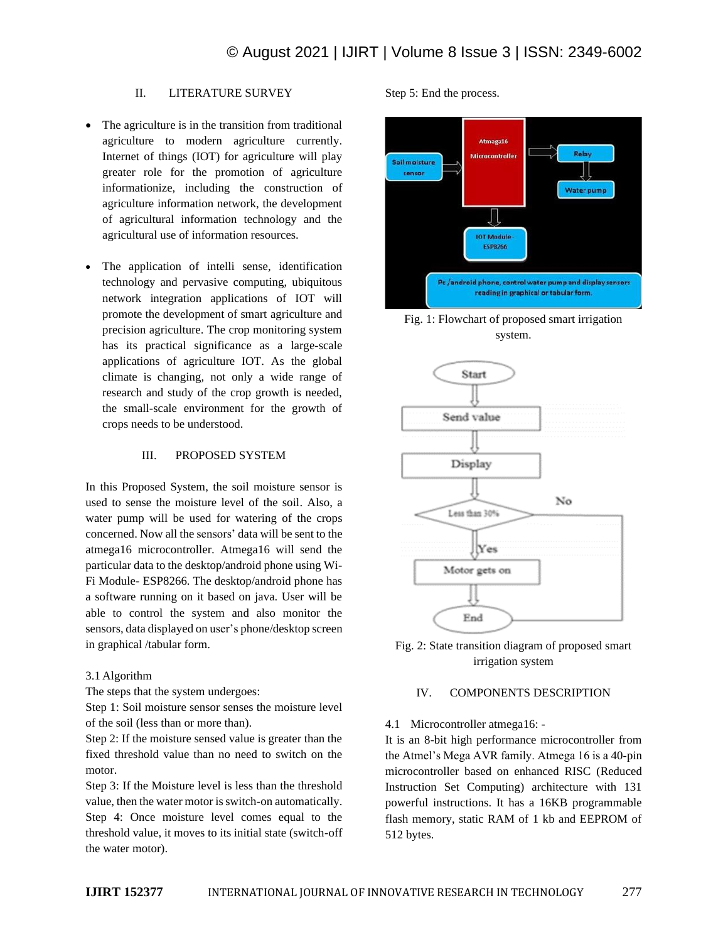# II. LITERATURE SURVEY

- The agriculture is in the transition from traditional agriculture to modern agriculture currently. Internet of things (IOT) for agriculture will play greater role for the promotion of agriculture informationize, including the construction of agriculture information network, the development of agricultural information technology and the agricultural use of information resources.
- The application of intelli sense, identification technology and pervasive computing, ubiquitous network integration applications of IOT will promote the development of smart agriculture and precision agriculture. The crop monitoring system has its practical significance as a large-scale applications of agriculture IOT. As the global climate is changing, not only a wide range of research and study of the crop growth is needed, the small-scale environment for the growth of crops needs to be understood.

## III. PROPOSED SYSTEM

In this Proposed System, the soil moisture sensor is used to sense the moisture level of the soil. Also, a water pump will be used for watering of the crops concerned. Now all the sensors' data will be sent to the atmega16 microcontroller. Atmega16 will send the particular data to the desktop/android phone using Wi-Fi Module- ESP8266. The desktop/android phone has a software running on it based on java. User will be able to control the system and also monitor the sensors, data displayed on user's phone/desktop screen in graphical /tabular form.

# 3.1 Algorithm

The steps that the system undergoes:

Step 1: Soil moisture sensor senses the moisture level of the soil (less than or more than).

Step 2: If the moisture sensed value is greater than the fixed threshold value than no need to switch on the motor.

Step 3: If the Moisture level is less than the threshold value, then the water motor is switch-on automatically. Step 4: Once moisture level comes equal to the threshold value, it moves to its initial state (switch-off the water motor).

Step 5: End the process.



Fig. 1: Flowchart of proposed smart irrigation system.





# IV. COMPONENTS DESCRIPTION

4.1 Microcontroller atmega16: -

It is an 8-bit high performance microcontroller from the Atmel's Mega AVR family. Atmega 16 is a 40-pin microcontroller based on enhanced RISC (Reduced Instruction Set Computing) architecture with 131 powerful instructions. It has a 16KB programmable flash memory, static RAM of 1 kb and EEPROM of 512 bytes.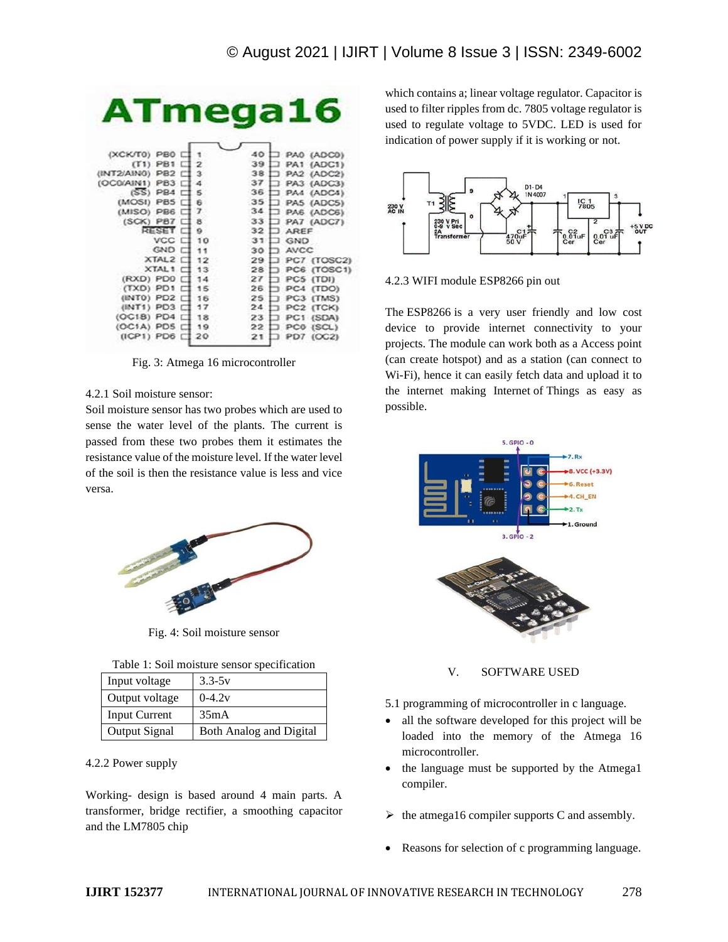| <b>ATmega16</b><br>(XCK/T0) PB0 L<br>40<br>PA0 (ADC0)<br>$(T1)$ PB1 $\Box$<br>39 1<br>$\mathbf{z}$<br>PA1 (ADC1)<br>$(INT2/AIN0)$ PB2 $\Box$ 3<br>38 1<br>PA2 (ADC2)<br>⊐<br>371<br>$(OC0/AIN1)$ PB3 $\Box$ 4<br>PA3 (ADC3)<br>$(SS)$ PB4 $\Box$ 5<br>361<br>PA4 (ADC4)<br>ℸ<br>$(MOSI)$ PBS $\Box$<br>35 <sup>†</sup><br>-6<br>PAS (ADC5)<br>n.<br>34 <sub>1</sub><br>$(MISO)$ PB6 $\Box$<br>$\mathcal{T}$<br>PA6 (ADC6)<br>⊐<br>$(SCK)$ PB7 $\Box$ 8<br>33 1<br>$\Box$ PA7 (ADC7)<br>RESET C 9<br>321<br><b>AREF</b><br>VCC $\Box$ 10<br>311<br><b>GND</b><br>⊐<br>GND I<br>11<br>30 <sub>1</sub><br><b>AVCC</b> |
|--------------------------------------------------------------------------------------------------------------------------------------------------------------------------------------------------------------------------------------------------------------------------------------------------------------------------------------------------------------------------------------------------------------------------------------------------------------------------------------------------------------------------------------------------------------------------------------------------------------------|
|                                                                                                                                                                                                                                                                                                                                                                                                                                                                                                                                                                                                                    |
|                                                                                                                                                                                                                                                                                                                                                                                                                                                                                                                                                                                                                    |
|                                                                                                                                                                                                                                                                                                                                                                                                                                                                                                                                                                                                                    |
|                                                                                                                                                                                                                                                                                                                                                                                                                                                                                                                                                                                                                    |
|                                                                                                                                                                                                                                                                                                                                                                                                                                                                                                                                                                                                                    |
|                                                                                                                                                                                                                                                                                                                                                                                                                                                                                                                                                                                                                    |
|                                                                                                                                                                                                                                                                                                                                                                                                                                                                                                                                                                                                                    |
|                                                                                                                                                                                                                                                                                                                                                                                                                                                                                                                                                                                                                    |
|                                                                                                                                                                                                                                                                                                                                                                                                                                                                                                                                                                                                                    |
|                                                                                                                                                                                                                                                                                                                                                                                                                                                                                                                                                                                                                    |
| $XTAL2 \n\square$ 12<br>29 I<br>PC7 (TOSC2)                                                                                                                                                                                                                                                                                                                                                                                                                                                                                                                                                                        |
| $XTAL1 \n 13$<br>PC6 (TOSC1)<br>28 <sup>1</sup>                                                                                                                                                                                                                                                                                                                                                                                                                                                                                                                                                                    |
| (RXD) PD0 [ 14<br>PC5 (TDI)<br>27                                                                                                                                                                                                                                                                                                                                                                                                                                                                                                                                                                                  |
| $(TXD)$ PD1 $\Box$<br>26<br>PC4 (TDO)<br>15                                                                                                                                                                                                                                                                                                                                                                                                                                                                                                                                                                        |
| $(NTO)$ PD2 $\Box$<br>16<br>25<br>PC3 (TMS)                                                                                                                                                                                                                                                                                                                                                                                                                                                                                                                                                                        |
| $(NT1)$ PD3 $\Box$<br>24<br>17<br>PC2 (TCK)                                                                                                                                                                                                                                                                                                                                                                                                                                                                                                                                                                        |
| (OC18) PD4 口<br>18<br>PC1 (SDA)<br>23.1<br>ב                                                                                                                                                                                                                                                                                                                                                                                                                                                                                                                                                                       |
| $(OC1A)$ PDS $\Box$ 19<br>PC0 (SCL)<br>22                                                                                                                                                                                                                                                                                                                                                                                                                                                                                                                                                                          |
| (ICP1) PD6 [ 20<br>PD7 (OC2)<br>21                                                                                                                                                                                                                                                                                                                                                                                                                                                                                                                                                                                 |

Fig. 3: Atmega 16 microcontroller

# 4.2.1 Soil moisture sensor:

Soil moisture sensor has two probes which are used to sense the water level of the plants. The current is passed from these two probes them it estimates the resistance value of the moisture level. If the water level of the soil is then the resistance value is less and vice versa.



Fig. 4: Soil moisture sensor

| Table 1: Soil moisture sensor specification |  |
|---------------------------------------------|--|
|---------------------------------------------|--|

| Input voltage        | $3.3 - 5v$                     |
|----------------------|--------------------------------|
| Output voltage       | $0-4.2v$                       |
| <b>Input Current</b> | 35mA                           |
| <b>Output Signal</b> | <b>Both Analog and Digital</b> |

## 4.2.2 Power supply

Working- design is based around 4 main parts. A transformer, bridge rectifier, a smoothing capacitor and the LM7805 chip

which contains a; linear voltage regulator. Capacitor is used to filter ripples from dc. 7805 voltage regulator is used to regulate voltage to 5VDC. LED is used for indication of power supply if it is working or not.



4.2.3 WIFI module ESP8266 pin out

The ESP8266 is a very user friendly and low cost device to provide internet connectivity to your projects. The module can work both as a Access point (can create hotspot) and as a station (can connect to Wi-Fi), hence it can easily fetch data and upload it to the internet making Internet of Things as easy as possible.



V. SOFTWARE USED

- 5.1 programming of microcontroller in c language.
- all the software developed for this project will be loaded into the memory of the Atmega 16 microcontroller.
- the language must be supported by the Atmega1 compiler.
- $\triangleright$  the atmega16 compiler supports C and assembly.
- Reasons for selection of c programming language.